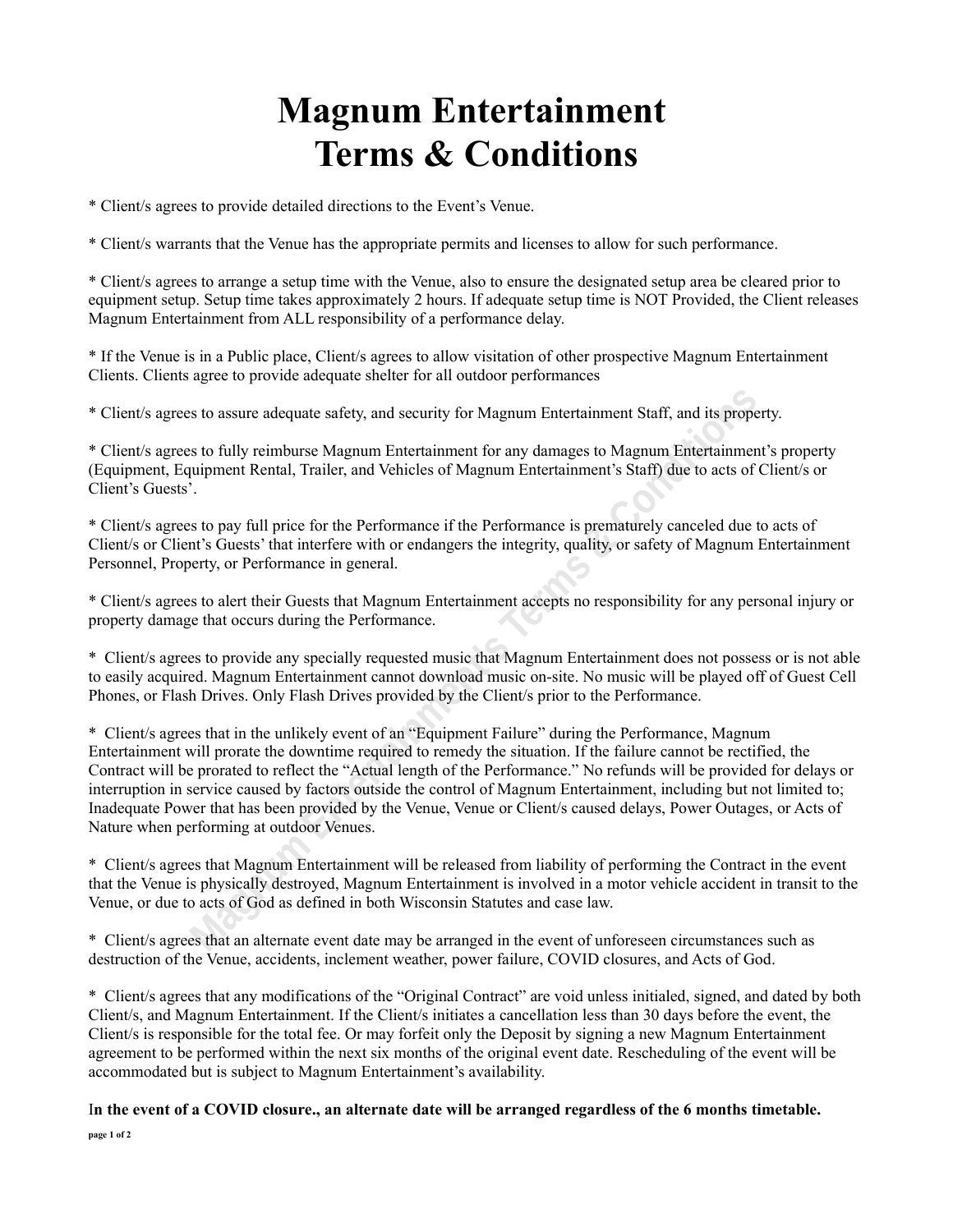## **Magnum Entertainment Terms & Conditions**

\* Client/s agrees to provide detailed directions to the Event's Venue.

\* Client/s warrants that the Venue has the appropriate permits and licenses to allow for such performance.

\* Client/s agrees to arrange a setup time with the Venue, also to ensure the designated setup area be cleared prior to equipment setup. Setup time takes approximately 2 hours. If adequate setup time is NOT Provided, the Client releases Magnum Entertainment from ALL responsibility of a performance delay.

\* If the Venue is in a Public place, Client/s agrees to allow visitation of other prospective Magnum Entertainment Clients. Clients agree to provide adequate shelter for all outdoor performances

\* Client/s agrees to assure adequate safety, and security for Magnum Entertainment Staff, and its property.

\* Client/s agrees to fully reimburse Magnum Entertainment for any damages to Magnum Entertainment's property (Equipment, Equipment Rental, Trailer, and Vehicles of Magnum Entertainment's Staff) due to acts of Client/s or Client's Guests'.

\* Client/s agrees to pay full price for the Performance if the Performance is prematurely canceled due to acts of Client/s or Client's Guests' that interfere with or endangers the integrity, quality, or safety of Magnum Entertainment Personnel, Property, or Performance in general.

\* Client/s agrees to alert their Guests that Magnum Entertainment accepts no responsibility for any personal injury or property damage that occurs during the Performance.

\* Client/s agrees to provide any specially requested music that Magnum Entertainment does not possess or is not able to easily acquired. Magnum Entertainment cannot download music on-site. No music will be played off of Guest Cell Phones, or Flash Drives. Only Flash Drives provided by the Client/s prior to the Performance.

\* Client/s agrees that in the unlikely event of an "Equipment Failure" during the Performance, Magnum Entertainment will prorate the downtime required to remedy the situation. If the failure cannot be rectified, the Contract will be prorated to reflect the "Actual length of the Performance." No refunds will be provided for delays or interruption in service caused by factors outside the control of Magnum Entertainment, including but not limited to; Inadequate Power that has been provided by the Venue, Venue or Client/s caused delays, Power Outages, or Acts of Nature when performing at outdoor Venues.

\* Client/s agrees that Magnum Entertainment will be released from liability of performing the Contract in the event that the Venue is physically destroyed, Magnum Entertainment is involved in a motor vehicle accident in transit to the Venue, or due to acts of God as defined in both Wisconsin Statutes and case law.

\* Client/s agrees that an alternate event date may be arranged in the event of unforeseen circumstances such as destruction of the Venue, accidents, inclement weather, power failure, COVID closures, and Acts of God.

\* Client/s agrees that any modifications of the "Original Contract" are void unless initialed, signed, and dated by both Client/s, and Magnum Entertainment. If the Client/s initiates a cancellation less than 30 days before the event, the Client/s is responsible for the total fee. Or may forfeit only the Deposit by signing a new Magnum Entertainment agreement to be performed within the next six months of the original event date. Rescheduling of the event will be accommodated but is subject to Magnum Entertainment's availability.

I**n the event of a COVID closure., an alternate date will be arranged regardless of the 6 months timetable. page 1 of 2**